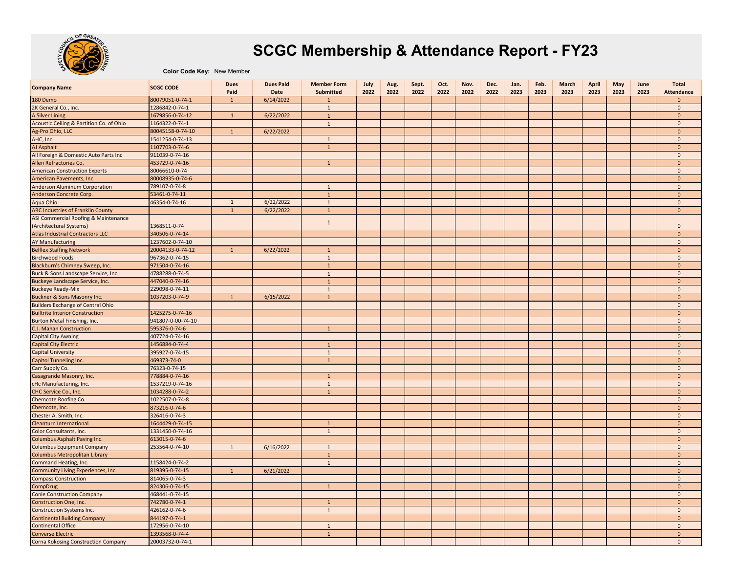

## **SCGC Membership & Attendance Report - FY23**

**Color Code Key:** New Member

| <b>Company Name</b>                        | <b>SCGC CODE</b>  | <b>Dues</b><br>Paid | <b>Dues Paid</b><br>Date | <b>Member Form</b><br>Submitted | July<br>2022 | Aug.<br>2022 | Sept.<br>2022 | Oct.<br>2022 | Nov.<br>2022 | Dec.<br>2022 | Jan.<br>2023 | Feb.<br>2023 | <b>March</b><br>2023 | April<br>2023 | May<br>2023 | June<br>2023 | <b>Total</b><br><b>Attendance</b> |
|--------------------------------------------|-------------------|---------------------|--------------------------|---------------------------------|--------------|--------------|---------------|--------------|--------------|--------------|--------------|--------------|----------------------|---------------|-------------|--------------|-----------------------------------|
| 180 Demo                                   | 80079051-0-74-1   | $\mathbf{1}$        | 6/14/2022                | $\overline{1}$                  |              |              |               |              |              |              |              |              |                      |               |             |              | $\mathbf{0}$                      |
| 2K General Co., Inc.                       | 1286842-0-74-1    |                     |                          | $\mathbf{1}$                    |              |              |               |              |              |              |              |              |                      |               |             |              | $\mathbf{0}$                      |
| A Silver Lining                            | 1679856-0-74-12   | $\mathbf{1}$        | 6/22/2022                | $\mathbf{1}$                    |              |              |               |              |              |              |              |              |                      |               |             |              | $\mathbf{0}$                      |
| Acoustic Ceiling & Partition Co. of Ohio   | 1164322-0-74-1    |                     |                          | $\mathbf{1}$                    |              |              |               |              |              |              |              |              |                      |               |             |              | $\mathbf 0$                       |
| Ag-Pro Ohio, LLC                           | 80045158-0-74-10  | $\mathbf{1}$        | 6/22/2022                |                                 |              |              |               |              |              |              |              |              |                      |               |             |              | $\mathbf{0}$                      |
| AHC, Inc.                                  | 1541254-0-74-13   |                     |                          | $\mathbf{1}$                    |              |              |               |              |              |              |              |              |                      |               |             |              | $\mathbf 0$                       |
| AJ Asphalt                                 | 1107703-0-74-6    |                     |                          | $\mathbf{1}$                    |              |              |               |              |              |              |              |              |                      |               |             |              | $\mathbf{0}$                      |
| All Foreign & Domestic Auto Parts Inc      | 911039-0-74-16    |                     |                          |                                 |              |              |               |              |              |              |              |              |                      |               |             |              | $\mathbf 0$                       |
| Allen Refractories Co.                     | 453729-0-74-16    |                     |                          | $\mathbf{1}$                    |              |              |               |              |              |              |              |              |                      |               |             |              | $\mathbf{0}$                      |
| <b>American Construction Experts</b>       | 80066610-0-74     |                     |                          |                                 |              |              |               |              |              |              |              |              |                      |               |             |              | $\mathbf 0$                       |
| American Pavements, Inc.                   | 80008935-0-74-6   |                     |                          |                                 |              |              |               |              |              |              |              |              |                      |               |             |              | $\mathbf{0}$                      |
| <b>Anderson Aluminum Corporation</b>       | 789107-0-74-8     |                     |                          | $\overline{1}$                  |              |              |               |              |              |              |              |              |                      |               |             |              | $\mathbf 0$                       |
| Anderson Concrete Corp.                    | 53461-0-74-11     |                     |                          | $\mathbf{1}$                    |              |              |               |              |              |              |              |              |                      |               |             |              | $\mathbf{0}$                      |
| Aqua Ohio                                  | 46354-0-74-16     | $\mathbf{1}$        | 6/22/2022                | $\mathbf{1}$                    |              |              |               |              |              |              |              |              |                      |               |             |              | $\mathbf{0}$                      |
| <b>ARC Industries of Franklin County</b>   |                   | $\mathbf{1}$        | 6/22/2022                | $\mathbf{1}$                    |              |              |               |              |              |              |              |              |                      |               |             |              | $\mathbf{0}$                      |
| ASI Commercial Roofing & Maintenance       |                   |                     |                          |                                 |              |              |               |              |              |              |              |              |                      |               |             |              |                                   |
| (Architectural Systems)                    | 1368511-0-74      |                     |                          | $\mathbf{1}$                    |              |              |               |              |              |              |              |              |                      |               |             |              | $\mathbf{0}$                      |
| <b>Atlas Industrial Contractors LLC</b>    | 340506-0-74-14    |                     |                          |                                 |              |              |               |              |              |              |              |              |                      |               |             |              | $\mathbf{0}$                      |
| <b>AY Manufacturing</b>                    | 1237602-0-74-10   |                     |                          |                                 |              |              |               |              |              |              |              |              |                      |               |             |              | $\mathbf 0$                       |
| <b>Belflex Staffing Network</b>            |                   | $\mathbf{1}$        |                          |                                 |              |              |               |              |              |              |              |              |                      |               |             |              |                                   |
|                                            | 20004133-0-74-12  |                     | 6/22/2022                | $\mathbf{1}$                    |              |              |               |              |              |              |              |              |                      |               |             |              | $\mathbf 0$<br>$\mathbf 0$        |
| <b>Birchwood Foods</b>                     | 967362-0-74-15    |                     |                          | $\mathbf{1}$                    |              |              |               |              |              |              |              |              |                      |               |             |              |                                   |
| Blackburn's Chimney Sweep, Inc.            | 971504-0-74-16    |                     |                          | $\mathbf{1}$                    |              |              |               |              |              |              |              |              |                      |               |             |              | $\mathbf{0}$                      |
| Buck & Sons Landscape Service, Inc.        | 4788288-0-74-5    |                     |                          | $\mathbf{1}$                    |              |              |               |              |              |              |              |              |                      |               |             |              | $\mathbf 0$                       |
| Buckeye Landscape Service, Inc.            | 447040-0-74-16    |                     |                          | $\mathbf{1}$                    |              |              |               |              |              |              |              |              |                      |               |             |              | $\mathbf{0}$                      |
| <b>Buckeye Ready-Mix</b>                   | 229098-0-74-11    |                     |                          | $\mathbf{1}$                    |              |              |               |              |              |              |              |              |                      |               |             |              | $\mathbf 0$                       |
| Buckner & Sons Masonry Inc.                | 1037203-0-74-9    | $\mathbf{1}$        | 6/15/2022                | $\mathbf{1}$                    |              |              |               |              |              |              |              |              |                      |               |             |              | $\mathbf{0}$                      |
| <b>Builders Exchange of Central Ohio</b>   |                   |                     |                          |                                 |              |              |               |              |              |              |              |              |                      |               |             |              | $\mathbf 0$                       |
| <b>Builtrite Interior Construction</b>     | 1425275-0-74-16   |                     |                          |                                 |              |              |               |              |              |              |              |              |                      |               |             |              | $\mathbf{0}$                      |
| Burton Metal Finishing, Inc.               | 941807-0-00-74-10 |                     |                          |                                 |              |              |               |              |              |              |              |              |                      |               |             |              | $\mathbf 0$                       |
| C.J. Mahan Construction                    | 595376-0-74-6     |                     |                          | $\mathbf{1}$                    |              |              |               |              |              |              |              |              |                      |               |             |              | $\mathbf{0}$                      |
| <b>Capital City Awning</b>                 | 407724-0-74-16    |                     |                          |                                 |              |              |               |              |              |              |              |              |                      |               |             |              | $\mathbf{0}$                      |
| <b>Capital City Electric</b>               | 1456884-0-74-4    |                     |                          | $\mathbf{1}$                    |              |              |               |              |              |              |              |              |                      |               |             |              | $\mathbf{0}$                      |
| <b>Capital University</b>                  | 395927-0-74-15    |                     |                          | $\mathbf{1}$                    |              |              |               |              |              |              |              |              |                      |               |             |              | $\mathbf 0$                       |
| Capitol Tunneling Inc.                     | 469373-74-0       |                     |                          | $\overline{1}$                  |              |              |               |              |              |              |              |              |                      |               |             |              | $\mathbf{0}$                      |
| Carr Supply Co.                            | 76323-0-74-15     |                     |                          |                                 |              |              |               |              |              |              |              |              |                      |               |             |              | $\mathbf{0}$                      |
| Casagrande Masonry, Inc.                   | 778884-0-74-16    |                     |                          | $\mathbf{1}$                    |              |              |               |              |              |              |              |              |                      |               |             |              | $\mathbf{0}$                      |
| cHc Manufacturing, Inc.                    | 1537219-0-74-16   |                     |                          | $\mathbf{1}$                    |              |              |               |              |              |              |              |              |                      |               |             |              | $\mathbf 0$                       |
| CHC Service Co., Inc.                      | 1034288-0-74-2    |                     |                          | $\overline{1}$                  |              |              |               |              |              |              |              |              |                      |               |             |              | $\mathbf{0}$                      |
| <b>Chemcote Roofing Co.</b>                | 1022507-0-74-8    |                     |                          |                                 |              |              |               |              |              |              |              |              |                      |               |             |              | $\mathbf 0$                       |
| Chemcote, Inc.                             | 873216-0-74-6     |                     |                          |                                 |              |              |               |              |              |              |              |              |                      |               |             |              | $\mathbf{0}$                      |
| Chester A. Smith, Inc.                     | 326416-0-74-3     |                     |                          |                                 |              |              |               |              |              |              |              |              |                      |               |             |              | $\mathbf{0}$                      |
| Cleanturn International                    | 1644429-0-74-15   |                     |                          | $\mathbf{1}$                    |              |              |               |              |              |              |              |              |                      |               |             |              | $\mathbf{0}$                      |
| Color Consultants, Inc.                    | 1331450-0-74-16   |                     |                          | 1                               |              |              |               |              |              |              |              |              |                      |               |             |              | $\mathbf 0$                       |
| <b>Columbus Asphalt Paving Inc.</b>        | 613015-0-74-6     |                     |                          |                                 |              |              |               |              |              |              |              |              |                      |               |             |              | $\mathbf{0}$                      |
| <b>Columbus Equipment Company</b>          | 253564-0-74-10    | $\mathbf{1}$        | 6/16/2022                | 1                               |              |              |               |              |              |              |              |              |                      |               |             |              | $\mathbf{0}$                      |
| Columbus Metropolitan Library              |                   |                     |                          | $\mathbf{1}$                    |              |              |               |              |              |              |              |              |                      |               |             |              | $\mathbf{0}$                      |
| Command Heating, Inc.                      | 1158424-0-74-2    |                     |                          | 1                               |              |              |               |              |              |              |              |              |                      |               |             |              | $\mathbf{0}$                      |
| Community Living Experiences, Inc.         | 819395-0-74-15    | $\mathbf{1}$        | 6/21/2022                |                                 |              |              |               |              |              |              |              |              |                      |               |             |              | $\mathbf{0}$                      |
| <b>Compass Construction</b>                | 814065-0-74-3     |                     |                          |                                 |              |              |               |              |              |              |              |              |                      |               |             |              | $\mathbf{0}$                      |
| CompDrug                                   | 824306-0-74-15    |                     |                          | $\mathbf{1}$                    |              |              |               |              |              |              |              |              |                      |               |             |              | $\mathbf{0}$                      |
| <b>Conie Construction Company</b>          | 468441-0-74-15    |                     |                          |                                 |              |              |               |              |              |              |              |              |                      |               |             |              | $\mathbf{0}$                      |
| Construction One, Inc.                     | 742780-0-74-1     |                     |                          | $\overline{1}$                  |              |              |               |              |              |              |              |              |                      |               |             |              | $\mathbf{0}$                      |
| <b>Construction Systems Inc.</b>           | 426162-0-74-6     |                     |                          | $\mathbf{1}$                    |              |              |               |              |              |              |              |              |                      |               |             |              | $\mathbf 0$                       |
| <b>Continental Building Company</b>        | 844197-0-74-1     |                     |                          |                                 |              |              |               |              |              |              |              |              |                      |               |             |              | $\mathbf{0}$                      |
| <b>Continental Office</b>                  | 172956-0-74-10    |                     |                          | $\mathbf{1}$                    |              |              |               |              |              |              |              |              |                      |               |             |              | $\mathbf 0$                       |
| <b>Converse Electric</b>                   | 1393568-0-74-4    |                     |                          | $\mathbf{1}$                    |              |              |               |              |              |              |              |              |                      |               |             |              | $\mathbf{0}$                      |
| <b>Corna Kokosing Construction Company</b> | 20003732-0-74-1   |                     |                          |                                 |              |              |               |              |              |              |              |              |                      |               |             |              | $\Omega$                          |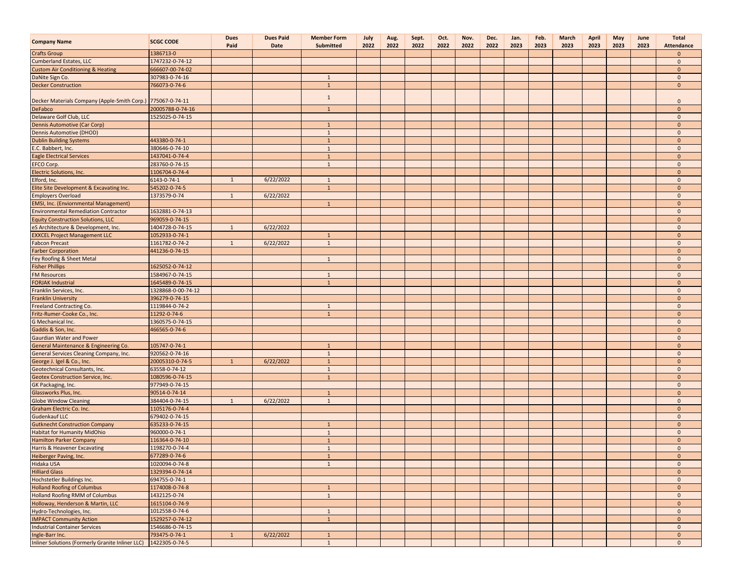| <b>Company Name</b>                                         | <b>SCGC CODE</b>                      | <b>Dues</b><br>Paid | <b>Dues Paid</b><br>Date | <b>Member Form</b><br>Submitted | July<br>2022 | Aug.<br>2022 | Sept.<br>2022 | Oct.<br>2022 | Nov.<br>2022 | Dec.<br>2022 | Jan.<br>2023 | Feb.<br>2023 | <b>March</b><br>2023 | April<br>2023 | May<br>2023 | June<br>2023 | <b>Total</b><br>Attendance    |
|-------------------------------------------------------------|---------------------------------------|---------------------|--------------------------|---------------------------------|--------------|--------------|---------------|--------------|--------------|--------------|--------------|--------------|----------------------|---------------|-------------|--------------|-------------------------------|
| <b>Crafts Group</b>                                         | 1386713-0                             |                     |                          |                                 |              |              |               |              |              |              |              |              |                      |               |             |              | $\overline{0}$                |
| <b>Cumberland Estates, LLC</b>                              | 1747232-0-74-12                       |                     |                          |                                 |              |              |               |              |              |              |              |              |                      |               |             |              | $\mathbf{0}$                  |
| <b>Custom Air Conditioning &amp; Heating</b>                | 666607-00-74-02                       |                     |                          |                                 |              |              |               |              |              |              |              |              |                      |               |             |              | $\mathbf{0}$                  |
| DaNite Sign Co.                                             | 307983-0-74-16                        |                     |                          | $\mathbf{1}$                    |              |              |               |              |              |              |              |              |                      |               |             |              | $\mathbf 0$                   |
| <b>Decker Construction</b>                                  | 766073-0-74-6                         |                     |                          | $\mathbf{1}$                    |              |              |               |              |              |              |              |              |                      |               |             |              | $\mathbf{0}$                  |
|                                                             |                                       |                     |                          | $\mathbf{1}$                    |              |              |               |              |              |              |              |              |                      |               |             |              |                               |
| Decker Materials Company (Apple-Smith Corp.) 775067-0-74-11 |                                       |                     |                          |                                 |              |              |               |              |              |              |              |              |                      |               |             |              | $\mathbf{0}$                  |
| DeFabco                                                     | 20005788-0-74-16                      |                     |                          | $\mathbf{1}$                    |              |              |               |              |              |              |              |              |                      |               |             |              | $\mathbf{0}$                  |
| Delaware Golf Club, LLC                                     | 1525025-0-74-15                       |                     |                          |                                 |              |              |               |              |              |              |              |              |                      |               |             |              | $\mathbf{0}$                  |
| <b>Dennis Automotive (Car Corp)</b>                         |                                       |                     |                          | $\mathbf{1}$                    |              |              |               |              |              |              |              |              |                      |               |             |              | $\mathbf{0}$                  |
| Dennis Automotive (DHOD)                                    |                                       |                     |                          | $\mathbf{1}$                    |              |              |               |              |              |              |              |              |                      |               |             |              | $\overline{0}$                |
| <b>Dublin Building Systems</b>                              | 443380-0-74-1                         |                     |                          | $\mathbf{1}$                    |              |              |               |              |              |              |              |              |                      |               |             |              | $\mathbf{0}$                  |
| E.C. Babbert, Inc.                                          | 380646-0-74-10                        |                     |                          | 1                               |              |              |               |              |              |              |              |              |                      |               |             |              | $\mathbf{0}$                  |
| <b>Eagle Electrical Services</b>                            | 1437041-0-74-4                        |                     |                          | $\mathbf{1}$                    |              |              |               |              |              |              |              |              |                      |               |             |              | $\mathbf{0}$                  |
| EFCO Corp.                                                  | 283760-0-74-15                        |                     |                          | $\mathbf{1}$                    |              |              |               |              |              |              |              |              |                      |               |             |              | $\mathbf{0}$                  |
| Electric Solutions, Inc.                                    | 1106704-0-74-4                        |                     |                          |                                 |              |              |               |              |              |              |              |              |                      |               |             |              | $\mathbf{0}$                  |
| Elford, Inc.                                                | 6143-0-74-1                           | $\mathbf{1}$        | 6/22/2022                | $\mathbf{1}$                    |              |              |               |              |              |              |              |              |                      |               |             |              | $\mathbf 0$                   |
| Elite Site Development & Excavating Inc.                    | 545202-0-74-5                         |                     |                          | $\mathbf{1}$                    |              |              |               |              |              |              |              |              |                      |               |             |              | $\mathbf{0}$                  |
| <b>Employers Overload</b>                                   | 1373579-0-74                          | 1                   | 6/22/2022                |                                 |              |              |               |              |              |              |              |              |                      |               |             |              | $\mathbf{0}$                  |
| EMSI, Inc. (Enviornmental Management)                       |                                       |                     |                          | $\mathbf{1}$                    |              |              |               |              |              |              |              |              |                      |               |             |              | $\overline{0}$                |
| <b>Environmental Remediation Contractor</b>                 | 1632881-0-74-13                       |                     |                          |                                 |              |              |               |              |              |              |              |              |                      |               |             |              | $\mathbf{0}$                  |
| <b>Equity Construction Solutions, LLC</b>                   | 969059-0-74-15                        |                     |                          |                                 |              |              |               |              |              |              |              |              |                      |               |             |              | $\mathbf{0}$                  |
| eS Architecture & Development, Inc.                         | 1404728-0-74-15                       | $\mathbf{1}$        | 6/22/2022                |                                 |              |              |               |              |              |              |              |              |                      |               |             |              | $\mathbf 0$                   |
| <b>EXXCEL Project Management LLC</b>                        | 1052933-0-74-1                        |                     |                          | $\mathbf{1}$                    |              |              |               |              |              |              |              |              |                      |               |             |              | $\mathbf{0}$                  |
| <b>Fabcon Precast</b>                                       | 1161782-0-74-2                        | $\mathbf{1}$        | 6/22/2022                | 1                               |              |              |               |              |              |              |              |              |                      |               |             |              | $\overline{0}$                |
| <b>Farber Corporation</b>                                   | 441236-0-74-15                        |                     |                          |                                 |              |              |               |              |              |              |              |              |                      |               |             |              | $\mathbf{0}$                  |
| Fey Roofing & Sheet Metal                                   |                                       |                     |                          | $\mathbf{1}$                    |              |              |               |              |              |              |              |              |                      |               |             |              | $\overline{0}$                |
| <b>Fisher Phillips</b>                                      | 1625052-0-74-12                       |                     |                          |                                 |              |              |               |              |              |              |              |              |                      |               |             |              | $\mathbf{0}$                  |
| <b>FM Resources</b>                                         | 1584967-0-74-15                       |                     |                          | $\mathbf{1}$                    |              |              |               |              |              |              |              |              |                      |               |             |              | $\mathbf 0$                   |
| <b>FORJAK Industrial</b>                                    | 1645489-0-74-15<br>1328868-0-00-74-12 |                     |                          | $\mathbf{1}$                    |              |              |               |              |              |              |              |              |                      |               |             |              | $\mathbf{0}$                  |
| Franklin Services, Inc.                                     |                                       |                     |                          |                                 |              |              |               |              |              |              |              |              |                      |               |             |              | $\mathbf 0$<br>$\overline{0}$ |
| <b>Franklin University</b>                                  | 396279-0-74-15<br>1119844-0-74-2      |                     |                          | $\mathbf{1}$                    |              |              |               |              |              |              |              |              |                      |               |             |              | $\overline{0}$                |
| Freeland Contracting Co.<br>Fritz-Rumer-Cooke Co., Inc.     | 11292-0-74-6                          |                     |                          | $\mathbf{1}$                    |              |              |               |              |              |              |              |              |                      |               |             |              | $\mathbf{0}$                  |
| G Mechanical Inc.                                           | 1360575-0-74-15                       |                     |                          |                                 |              |              |               |              |              |              |              |              |                      |               |             |              | $\mathbf 0$                   |
| Gaddis & Son, Inc.                                          | 466565-0-74-6                         |                     |                          |                                 |              |              |               |              |              |              |              |              |                      |               |             |              | $\mathbf{0}$                  |
| Gaurdian Water and Power                                    |                                       |                     |                          |                                 |              |              |               |              |              |              |              |              |                      |               |             |              | $\mathbf{0}$                  |
| General Maintenance & Engineering Co.                       | 105747-0-74-1                         |                     |                          | $\mathbf{1}$                    |              |              |               |              |              |              |              |              |                      |               |             |              | $\mathbf{0}$                  |
| General Services Cleaning Company, Inc.                     | 920562-0-74-16                        |                     |                          | $\mathbf{1}$                    |              |              |               |              |              |              |              |              |                      |               |             |              | $\overline{0}$                |
| George J. Igel & Co., Inc.                                  | 20005310-0-74-5                       | $\mathbf{1}$        | 6/22/2022                | $\overline{1}$                  |              |              |               |              |              |              |              |              |                      |               |             |              | $\mathbf{0}$                  |
| Geotechnical Consultants, Inc.                              | 63558-0-74-12                         |                     |                          | $\mathbf{1}$                    |              |              |               |              |              |              |              |              |                      |               |             |              | $\mathbf{0}$                  |
| Geotex Construction Service, Inc.                           | 1080596-0-74-15                       |                     |                          | $\mathbf{1}$                    |              |              |               |              |              |              |              |              |                      |               |             |              | $\mathbf{0}$                  |
| GK Packaging, Inc.                                          | 977949-0-74-15                        |                     |                          |                                 |              |              |               |              |              |              |              |              |                      |               |             |              | $\mathbf 0$                   |
| Glassworks Plus, Inc.                                       | 90514-0-74-14                         |                     |                          | $\mathbf{1}$                    |              |              |               |              |              |              |              |              |                      |               |             |              | $\overline{0}$                |
| <b>Globe Window Cleaning</b>                                | 384404-0-74-15                        | $\mathbf{1}$        | 6/22/2022                | $\mathbf{1}$                    |              |              |               |              |              |              |              |              |                      |               |             |              | $\mathbf{0}$                  |
| Graham Electric Co. Inc.                                    | 1105176-0-74-4                        |                     |                          |                                 |              |              |               |              |              |              |              |              |                      |               |             |              | $\mathbf{0}$                  |
| Gudenkauf LLC                                               | 679402-0-74-15                        |                     |                          |                                 |              |              |               |              |              |              |              |              |                      |               |             |              | $\mathbf{0}$                  |
| <b>Gutknecht Construction Company</b>                       | 635233-0-74-15                        |                     |                          | $\mathbf{1}$                    |              |              |               |              |              |              |              |              |                      |               |             |              | $\mathbf{0}$                  |
| <b>Habitat for Humanity MidOhio</b>                         | 960000-0-74-1                         |                     |                          | $\mathbf{1}$                    |              |              |               |              |              |              |              |              |                      |               |             |              | $\mathbf{0}$                  |
| <b>Hamilton Parker Company</b>                              | 116364-0-74-10                        |                     |                          | $\mathbf{1}$                    |              |              |               |              |              |              |              |              |                      |               |             |              | $\mathbf{0}$                  |
| Harris & Heavener Excavating                                | 1198270-0-74-4                        |                     |                          | $\overline{1}$                  |              |              |               |              |              |              |              |              |                      |               |             |              | $\mathbf{0}$                  |
| Heiberger Paving, Inc.                                      | 677289-0-74-6                         |                     |                          | $\mathbf{1}$                    |              |              |               |              |              |              |              |              |                      |               |             |              | $\mathbf{0}$                  |
| <b>Hidaka USA</b>                                           | 1020094-0-74-8                        |                     |                          | $\mathbf{1}$                    |              |              |               |              |              |              |              |              |                      |               |             |              | $\mathbf{0}$                  |
| <b>Hilliard Glass</b>                                       | 1329394-0-74-14                       |                     |                          |                                 |              |              |               |              |              |              |              |              |                      |               |             |              | $\mathbf{0}$                  |
| Hochstetler Buildings Inc.                                  | 694755-0-74-1                         |                     |                          |                                 |              |              |               |              |              |              |              |              |                      |               |             |              | $\mathbf{0}$                  |
| <b>Holland Roofing of Columbus</b>                          | 1174008-0-74-8                        |                     |                          | $\mathbf{1}$                    |              |              |               |              |              |              |              |              |                      |               |             |              | $\mathbf{0}$                  |
| <b>Holland Roofing RMM of Columbus</b>                      | 1432125-0-74                          |                     |                          | $\mathbf{1}$                    |              |              |               |              |              |              |              |              |                      |               |             |              | $\mathbf{0}$                  |
| Holloway, Henderson & Martin, LLC                           | 1615104-0-74-9                        |                     |                          |                                 |              |              |               |              |              |              |              |              |                      |               |             |              | $\mathbf{0}$                  |
| Hydro-Technologies, Inc.                                    | 1012558-0-74-6                        |                     |                          | $\mathbf{1}$                    |              |              |               |              |              |              |              |              |                      |               |             |              | $\mathbf{0}$                  |
| <b>IMPACT Community Action</b>                              | 1529257-0-74-12                       |                     |                          | $\mathbf{1}$                    |              |              |               |              |              |              |              |              |                      |               |             |              | $\mathbf{0}$                  |
| <b>Industrial Container Services</b>                        | 1546686-0-74-15                       |                     |                          |                                 |              |              |               |              |              |              |              |              |                      |               |             |              | $\mathbf{0}$                  |
| Ingle-Barr Inc.                                             | 793475-0-74-1                         | $\mathbf{1}$        | 6/22/2022                | $\mathbf{1}$                    |              |              |               |              |              |              |              |              |                      |               |             |              | $\mathbf{0}$                  |
| Inliner Solutions (Formerly Granite Inliner LLC)            | 1422305-0-74-5                        |                     |                          | $\mathbf{1}$                    |              |              |               |              |              |              |              |              |                      |               |             |              | $\mathbf{0}$                  |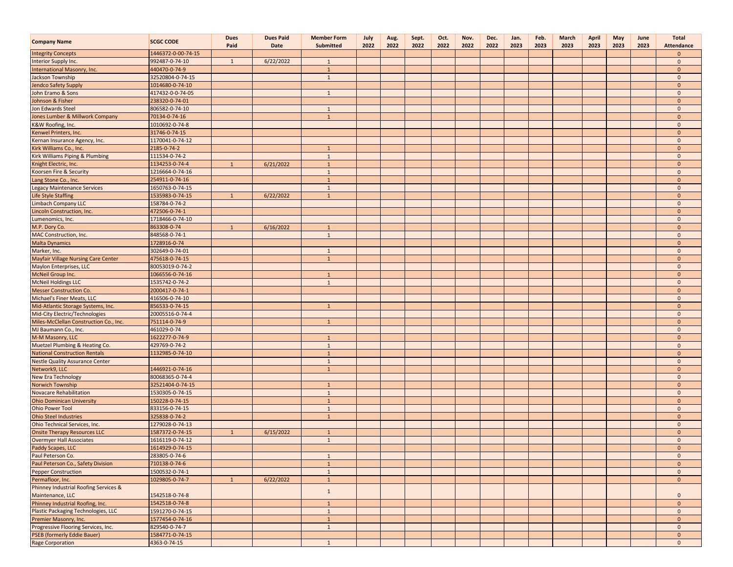| <b>Company Name</b>                        | <b>SCGC CODE</b>   | <b>Dues</b><br>Paid | <b>Dues Paid</b><br>Date | <b>Member Form</b><br>Submitted | July<br>2022 | Aug.<br>2022 | Sept.<br>2022 | Oct.<br>2022 | Nov.<br>2022 | Dec.<br>2022 | Jan.<br>2023 | Feb.<br>2023 | March<br>2023 | April<br>2023 | May<br>2023 | June<br>2023 | <b>Total</b><br>Attendance |
|--------------------------------------------|--------------------|---------------------|--------------------------|---------------------------------|--------------|--------------|---------------|--------------|--------------|--------------|--------------|--------------|---------------|---------------|-------------|--------------|----------------------------|
| <b>Integrity Concepts</b>                  | 1446372-0-00-74-15 |                     |                          |                                 |              |              |               |              |              |              |              |              |               |               |             |              | $\mathbf{0}$               |
| Interior Supply Inc.                       | 992487-0-74-10     | $\mathbf{1}$        | 6/22/2022                | $\mathbf{1}$                    |              |              |               |              |              |              |              |              |               |               |             |              | $\mathbf{0}$               |
| International Masonry, Inc.                | 440470-0-74-9      |                     |                          | $\mathbf{1}$                    |              |              |               |              |              |              |              |              |               |               |             |              | $\mathbf{0}$               |
| Jackson Township                           | 32520804-0-74-15   |                     |                          | $\mathbf{1}$                    |              |              |               |              |              |              |              |              |               |               |             |              | $\mathbf{0}$               |
| Jendco Safety Supply                       | 1014680-0-74-10    |                     |                          |                                 |              |              |               |              |              |              |              |              |               |               |             |              | $\mathbf{0}$               |
| John Eramo & Sons                          | 417432-0-0-74-05   |                     |                          | 1                               |              |              |               |              |              |              |              |              |               |               |             |              | $\mathbf{0}$               |
| Johnson & Fisher                           | 238320-0-74-01     |                     |                          |                                 |              |              |               |              |              |              |              |              |               |               |             |              | $\mathbf{0}$               |
| Jon Edwards Steel                          | 806582-0-74-10     |                     |                          | 1                               |              |              |               |              |              |              |              |              |               |               |             |              | $\mathbf{0}$               |
| Jones Lumber & Millwork Company            | 70134-0-74-16      |                     |                          | $\mathbf{1}$                    |              |              |               |              |              |              |              |              |               |               |             |              | $\mathbf{0}$               |
| K&W Roofing, Inc.                          | 1010692-0-74-8     |                     |                          |                                 |              |              |               |              |              |              |              |              |               |               |             |              | $\mathbf 0$                |
| Kenwel Printers, Inc.                      | 31746-0-74-15      |                     |                          |                                 |              |              |               |              |              |              |              |              |               |               |             |              | $\mathbf{0}$               |
| Kernan Insurance Agency, Inc.              | 1170041-0-74-12    |                     |                          |                                 |              |              |               |              |              |              |              |              |               |               |             |              | $\mathbf 0$                |
| Kirk Williams Co., Inc.                    | 2185-0-74-2        |                     |                          | $\mathbf{1}$                    |              |              |               |              |              |              |              |              |               |               |             |              | $\mathbf{0}$               |
| Kirk Williams Piping & Plumbing            | 111534-0-74-2      |                     |                          | $\mathbf{1}$                    |              |              |               |              |              |              |              |              |               |               |             |              | $\mathbf 0$                |
| Knight Electric, Inc.                      | 1134253-0-74-4     | $\mathbf{1}$        | 6/21/2022                | $\mathbf{1}$                    |              |              |               |              |              |              |              |              |               |               |             |              | $\mathbf{0}$               |
| Koorsen Fire & Security                    | 1216664-0-74-16    |                     |                          | 1                               |              |              |               |              |              |              |              |              |               |               |             |              | $\mathbf 0$                |
| Lang Stone Co., Inc.                       | 254911-0-74-16     |                     |                          | $\mathbf{1}$                    |              |              |               |              |              |              |              |              |               |               |             |              | $\mathbf{0}$               |
| <b>Legacy Maintenance Services</b>         | 1650763-0-74-15    |                     |                          | $\mathbf{1}$                    |              |              |               |              |              |              |              |              |               |               |             |              | $\mathbf{0}$               |
| Life Style Staffing                        | 1535983-0-74-15    | $\mathbf{1}$        | 6/22/2022                | $\mathbf{1}$                    |              |              |               |              |              |              |              |              |               |               |             |              | $\mathbf{0}$               |
| <b>Limbach Company LLC</b>                 | 158784-0-74-2      |                     |                          |                                 |              |              |               |              |              |              |              |              |               |               |             |              | $\mathbf 0$                |
| incoln Construction, Inc.                  | 472506-0-74-1      |                     |                          |                                 |              |              |               |              |              |              |              |              |               |               |             |              | $\mathbf{0}$               |
| Lumenomics, Inc.                           | 1718466-0-74-10    |                     |                          |                                 |              |              |               |              |              |              |              |              |               |               |             |              | $\mathbf{0}$               |
| M.P. Dory Co.                              | 863308-0-74        | $\mathbf{1}$        | 6/16/2022                | $\mathbf{1}$                    |              |              |               |              |              |              |              |              |               |               |             |              | $\mathbf{0}$               |
| MAC Construction, Inc.                     | 848568-0-74-1      |                     |                          | $\mathbf{1}$                    |              |              |               |              |              |              |              |              |               |               |             |              | $\mathbf 0$                |
| <b>Malta Dynamics</b>                      | 1728916-0-74       |                     |                          |                                 |              |              |               |              |              |              |              |              |               |               |             |              | $\overline{0}$             |
| Marker, Inc.                               | 302649-0-74-01     |                     |                          | 1                               |              |              |               |              |              |              |              |              |               |               |             |              | $\mathbf 0$                |
| <b>Mayfair Village Nursing Care Center</b> | 475618-0-74-15     |                     |                          | $\mathbf{1}$                    |              |              |               |              |              |              |              |              |               |               |             |              | $\mathbf{0}$               |
| Maylon Enterprises, LLC                    | 80053019-0-74-2    |                     |                          |                                 |              |              |               |              |              |              |              |              |               |               |             |              | $\mathbf{0}$               |
| McNeil Group Inc.                          | 1066556-0-74-16    |                     |                          | $\mathbf{1}$                    |              |              |               |              |              |              |              |              |               |               |             |              | $\mathbf{0}$               |
| <b>McNeil Holdings LLC</b>                 | 1535742-0-74-2     |                     |                          | $\mathbf{1}$                    |              |              |               |              |              |              |              |              |               |               |             |              | $\mathbf{0}$               |
| <b>Messer Construction Co.</b>             | 2000417-0-74-1     |                     |                          |                                 |              |              |               |              |              |              |              |              |               |               |             |              | $\mathbf{0}$               |
| Michael's Finer Meats, LLC                 | 416506-0-74-10     |                     |                          |                                 |              |              |               |              |              |              |              |              |               |               |             |              | $\mathbf{0}$               |
| Mid-Atlantic Storage Systems, Inc.         | 856533-0-74-15     |                     |                          | $\mathbf{1}$                    |              |              |               |              |              |              |              |              |               |               |             |              | $\mathbf{0}$               |
| Mid-City Electric/Technologies             | 20005516-0-74-4    |                     |                          |                                 |              |              |               |              |              |              |              |              |               |               |             |              | $\mathbf{0}$               |
| Miles-McClellan Construction Co., Inc.     | 751114-0-74-9      |                     |                          | $\mathbf{1}$                    |              |              |               |              |              |              |              |              |               |               |             |              | $\mathbf{0}$               |
| MJ Baumann Co., Inc.                       | 461029-0-74        |                     |                          |                                 |              |              |               |              |              |              |              |              |               |               |             |              | $\mathbf 0$                |
| M-M Masonry, LLC                           | 1622277-0-74-9     |                     |                          | $\mathbf{1}$                    |              |              |               |              |              |              |              |              |               |               |             |              | $\mathbf{0}$               |
| Muetzel Plumbing & Heating Co.             | 429769-0-74-2      |                     |                          | $\mathbf{1}$                    |              |              |               |              |              |              |              |              |               |               |             |              | $\mathbf 0$                |
| <b>National Construction Rentals</b>       | 1132985-0-74-10    |                     |                          | $\mathbf{1}$                    |              |              |               |              |              |              |              |              |               |               |             |              | $\mathbf{0}$               |
| <b>Nestle Quality Assurance Center</b>     |                    |                     |                          | $\mathbf{1}$                    |              |              |               |              |              |              |              |              |               |               |             |              | $\mathbf{0}$               |
| Network9, LLC                              | 1446921-0-74-16    |                     |                          | $\mathbf{1}$                    |              |              |               |              |              |              |              |              |               |               |             |              | $\mathbf{0}$               |
| <b>New Era Technology</b>                  | 80068365-0-74-4    |                     |                          |                                 |              |              |               |              |              |              |              |              |               |               |             |              | $\mathbf{0}$               |
| <b>Norwich Township</b>                    | 32521404-0-74-15   |                     |                          | $\mathbf{1}$                    |              |              |               |              |              |              |              |              |               |               |             |              | $\mathbf{0}$               |
| <b>Novacare Rehabilitation</b>             | 1530305-0-74-15    |                     |                          | 1                               |              |              |               |              |              |              |              |              |               |               |             |              | $\mathbf{0}$               |
| <b>Ohio Dominican University</b>           | 150228-0-74-15     |                     |                          | $\mathbf{1}$                    |              |              |               |              |              |              |              |              |               |               |             |              | $\mathbf{0}$               |
| <b>Ohio Power Tool</b>                     | 833156-0-74-15     |                     |                          | $\mathbf{1}$                    |              |              |               |              |              |              |              |              |               |               |             |              | $\mathbf{0}$               |
| <b>Ohio Steel Industries</b>               | 325838-0-74-2      |                     |                          | $\mathbf{1}$                    |              |              |               |              |              |              |              |              |               |               |             |              | $\mathbf{0}$               |
| Ohio Technical Services, Inc.              | 1279028-0-74-13    |                     |                          |                                 |              |              |               |              |              |              |              |              |               |               |             |              | $\mathbf 0$                |
| <b>Onsite Therapy Resources LLC</b>        | 1587372-0-74-15    | $\mathbf{1}$        | 6/15/2022                | $\mathbf{1}$                    |              |              |               |              |              |              |              |              |               |               |             |              | $\mathbf{0}$               |
| <b>Overmyer Hall Associates</b>            | 1616119-0-74-12    |                     |                          | 1                               |              |              |               |              |              |              |              |              |               |               |             |              | $\mathbf{0}$               |
| Paddy Scapes, LLC                          | 1614929-0-74-15    |                     |                          |                                 |              |              |               |              |              |              |              |              |               |               |             |              | $\mathbf{0}$               |
| Paul Peterson Co.                          | 283805-0-74-6      |                     |                          | $\mathbf{1}$                    |              |              |               |              |              |              |              |              |               |               |             |              | $\mathbf{0}$               |
| Paul Peterson Co., Safety Division         | 710138-0-74-6      |                     |                          | $\mathbf{1}$                    |              |              |               |              |              |              |              |              |               |               |             |              | $\mathbf{0}$               |
| <b>Pepper Construction</b>                 | 1500532-0-74-1     |                     |                          | $\mathbf{1}$                    |              |              |               |              |              |              |              |              |               |               |             |              | $\mathbf{0}$               |
| Permafloor, Inc.                           | 1029805-0-74-7     | $\mathbf{1}$        | 6/22/2022                | $\mathbf{1}$                    |              |              |               |              |              |              |              |              |               |               |             |              | $\mathbf{0}$               |
| Phinney Industrial Roofing Services &      |                    |                     |                          | $\mathbf{1}$                    |              |              |               |              |              |              |              |              |               |               |             |              |                            |
| Maintenance, LLC                           | 1542518-0-74-8     |                     |                          |                                 |              |              |               |              |              |              |              |              |               |               |             |              | $\mathbf{0}$               |
| Phinney Industrial Roofing, Inc.           | 1542518-0-74-8     |                     |                          | $\mathbf{1}$                    |              |              |               |              |              |              |              |              |               |               |             |              | $\mathbf{0}$               |
| <b>Plastic Packaging Technologies, LLC</b> | 1591270-0-74-15    |                     |                          | $\mathbf{1}$                    |              |              |               |              |              |              |              |              |               |               |             |              | $\mathbf{0}$               |
| Premier Masonry, Inc.                      | 1577454-0-74-16    |                     |                          | $1\,$                           |              |              |               |              |              |              |              |              |               |               |             |              | $\mathbf{0}$               |
| Progressive Flooring Services, Inc.        | 829540-0-74-7      |                     |                          | $\mathbf{1}$                    |              |              |               |              |              |              |              |              |               |               |             |              | $\mathbf{0}$               |
| <b>PSEB</b> (formerly Eddie Bauer)         | 1584771-0-74-15    |                     |                          |                                 |              |              |               |              |              |              |              |              |               |               |             |              | $\mathbf{0}$               |
| <b>Rage Corporation</b>                    | 4363-0-74-15       |                     |                          | 1                               |              |              |               |              |              |              |              |              |               |               |             |              | $\mathbf{0}$               |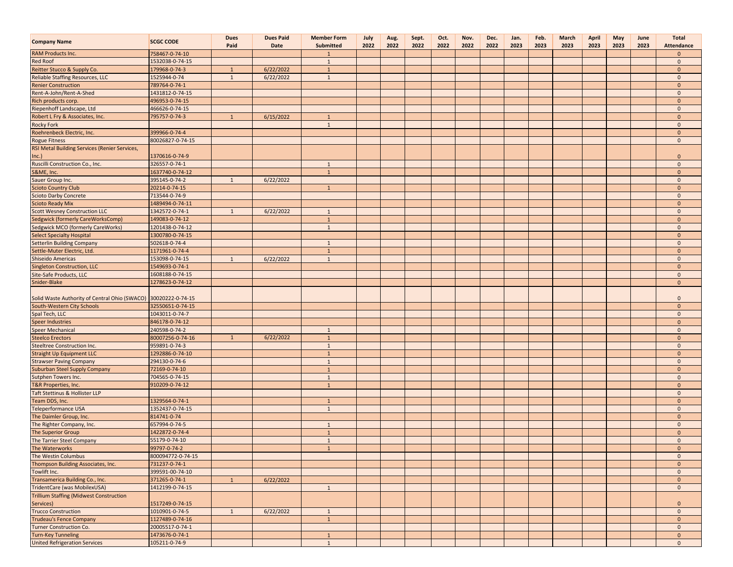| <b>Company Name</b>                                         | <b>SCGC CODE</b>  | <b>Dues</b><br>Paid | <b>Dues Paid</b><br>Date | <b>Member Form</b><br>Submitted | July<br>2022 | Aug.<br>2022 | Sept.<br>2022 | Oct.<br>2022 | Nov.<br>2022 | Dec.<br>2022 | Jan.<br>2023 | Feb.<br>2023 | March<br>2023 | April<br>2023 | May<br>2023 | June<br>2023 | <b>Total</b><br><b>Attendance</b> |
|-------------------------------------------------------------|-------------------|---------------------|--------------------------|---------------------------------|--------------|--------------|---------------|--------------|--------------|--------------|--------------|--------------|---------------|---------------|-------------|--------------|-----------------------------------|
| <b>RAM Products Inc.</b>                                    | 758467-0-74-10    |                     |                          | 1                               |              |              |               |              |              |              |              |              |               |               |             |              | $\mathbf{0}$                      |
| <b>Red Roof</b>                                             | 1532038-0-74-15   |                     |                          | $\mathbf{1}$                    |              |              |               |              |              |              |              |              |               |               |             |              | $\mathbf{0}$                      |
| Reitter Stucco & Supply Co.                                 | 179968-0-74-3     | $\mathbf{1}$        | 6/22/2022                | $\mathbf{1}$                    |              |              |               |              |              |              |              |              |               |               |             |              | $\mathbf{0}$                      |
| <b>Reliable Staffing Resources, LLC</b>                     | 1525944-0-74      | $\mathbf{1}$        | 6/22/2022                | 1                               |              |              |               |              |              |              |              |              |               |               |             |              | $\mathbf{0}$                      |
| <b>Renier Construction</b>                                  | 789764-0-74-1     |                     |                          |                                 |              |              |               |              |              |              |              |              |               |               |             |              | $\mathbf{0}$                      |
| Rent-A-John/Rent-A-Shed                                     | 1431812-0-74-15   |                     |                          |                                 |              |              |               |              |              |              |              |              |               |               |             |              | $\mathbf{0}$                      |
| Rich products corp.                                         | 496953-0-74-15    |                     |                          |                                 |              |              |               |              |              |              |              |              |               |               |             |              | $\mathbf{0}$                      |
| Riepenhoff Landscape, Ltd                                   | 466626-0-74-15    |                     |                          |                                 |              |              |               |              |              |              |              |              |               |               |             |              | $\mathbf{0}$                      |
| Robert L Fry & Associates, Inc.                             | 795757-0-74-3     | $\mathbf{1}$        | 6/15/2022                | $\mathbf{1}$                    |              |              |               |              |              |              |              |              |               |               |             |              | $\mathbf{0}$                      |
| <b>Rocky Fork</b>                                           |                   |                     |                          | $\mathbf{1}$                    |              |              |               |              |              |              |              |              |               |               |             |              | $\mathbf{0}$                      |
| Roehrenbeck Electric, Inc.                                  | 399966-0-74-4     |                     |                          |                                 |              |              |               |              |              |              |              |              |               |               |             |              | $\mathbf{0}$                      |
| <b>Rogue Fitness</b>                                        | 80026827-0-74-15  |                     |                          |                                 |              |              |               |              |              |              |              |              |               |               |             |              | $\mathbf 0$                       |
| RSI Metal Building Services (Renier Services,               |                   |                     |                          |                                 |              |              |               |              |              |              |              |              |               |               |             |              |                                   |
| Inc.                                                        | 1370616-0-74-9    |                     |                          |                                 |              |              |               |              |              |              |              |              |               |               |             |              | $\mathbf{0}$                      |
| Ruscilli Construction Co., Inc.                             | 326557-0-74-1     |                     |                          | 1                               |              |              |               |              |              |              |              |              |               |               |             |              | $\mathbf{0}$                      |
| S&ME, Inc.                                                  | 1637740-0-74-12   |                     |                          | $\overline{1}$                  |              |              |               |              |              |              |              |              |               |               |             |              | $\mathbf{0}$                      |
| Sauer Group Inc.                                            | 395145-0-74-2     | $\mathbf{1}$        | 6/22/2022                |                                 |              |              |               |              |              |              |              |              |               |               |             |              | $\mathbf{0}$                      |
| <b>Scioto Country Club</b>                                  | 20214-0-74-15     |                     |                          | $\mathbf{1}$                    |              |              |               |              |              |              |              |              |               |               |             |              | $\mathbf{0}$                      |
| <b>Scioto Darby Concrete</b>                                | 713544-0-74-9     |                     |                          |                                 |              |              |               |              |              |              |              |              |               |               |             |              | $\mathbf 0$                       |
| <b>Scioto Ready Mix</b>                                     | 1489494-0-74-11   |                     |                          |                                 |              |              |               |              |              |              |              |              |               |               |             |              | $\overline{0}$                    |
| <b>Scott Wesney Construction LLC</b>                        | 1342572-0-74-1    | $\mathbf{1}$        | 6/22/2022                | 1                               |              |              |               |              |              |              |              |              |               |               |             |              | $\overline{0}$                    |
| Sedgwick (formerly CareWorksComp)                           | 149083-0-74-12    |                     |                          | $\mathbf{1}$                    |              |              |               |              |              |              |              |              |               |               |             |              | $\mathbf{0}$                      |
| <b>Sedgwick MCO (formerly CareWorks)</b>                    | 1201438-0-74-12   |                     |                          | 1                               |              |              |               |              |              |              |              |              |               |               |             |              | $\mathbf{0}$                      |
| <b>Select Specialty Hospital</b>                            | 1300780-0-74-15   |                     |                          |                                 |              |              |               |              |              |              |              |              |               |               |             |              | $\mathbf{0}$                      |
| <b>Setterlin Building Company</b>                           | 502618-0-74-4     |                     |                          | $\mathbf{1}$                    |              |              |               |              |              |              |              |              |               |               |             |              | $\mathbf{0}$                      |
| Settle-Muter Electric, Ltd.                                 | 1171961-0-74-4    |                     |                          | $\mathbf{1}$                    |              |              |               |              |              |              |              |              |               |               |             |              | $\mathbf{0}$                      |
| Shiseido Americas                                           | 153098-0-74-15    | 1                   | 6/22/2022                | $\mathbf{1}$                    |              |              |               |              |              |              |              |              |               |               |             |              | $\mathbf{0}$                      |
| <b>Singleton Construction, LLC</b>                          | 1549693-0-74-1    |                     |                          |                                 |              |              |               |              |              |              |              |              |               |               |             |              | $\mathbf{0}$                      |
| Site-Safe Products, LLC                                     | 1608188-0-74-15   |                     |                          |                                 |              |              |               |              |              |              |              |              |               |               |             |              | $\mathbf{0}$                      |
| Snider-Blake                                                | 1278623-0-74-12   |                     |                          |                                 |              |              |               |              |              |              |              |              |               |               |             |              | $\mathbf{0}$                      |
| Solid Waste Authority of Central Ohio (SWACO)               | 30020222-0-74-15  |                     |                          |                                 |              |              |               |              |              |              |              |              |               |               |             |              | $\mathbf 0$                       |
| South-Western City Schools                                  | 32550651-0-74-15  |                     |                          |                                 |              |              |               |              |              |              |              |              |               |               |             |              | $\mathbf{0}$                      |
| Spal Tech, LLC                                              | 1043011-0-74-7    |                     |                          |                                 |              |              |               |              |              |              |              |              |               |               |             |              | $\overline{0}$                    |
| <b>Speer Industries</b>                                     | 846178-0-74-12    |                     |                          |                                 |              |              |               |              |              |              |              |              |               |               |             |              | $\mathbf{0}$                      |
| <b>Speer Mechanical</b>                                     | 240598-0-74-2     |                     |                          | 1                               |              |              |               |              |              |              |              |              |               |               |             |              | $\mathbf{0}$                      |
| <b>Steelco Erectors</b>                                     | 80007256-0-74-16  | $\mathbf{1}$        | 6/22/2022                | $\mathbf{1}$                    |              |              |               |              |              |              |              |              |               |               |             |              | $\mathbf{0}$                      |
| <b>Steeltree Construction Inc.</b>                          | 959891-0-74-3     |                     |                          | $\mathbf{1}$                    |              |              |               |              |              |              |              |              |               |               |             |              | $\mathbf 0$                       |
| <b>Straight Up Equipment LLC</b>                            | 1292886-0-74-10   |                     |                          | $\mathbf{1}$                    |              |              |               |              |              |              |              |              |               |               |             |              | $\overline{0}$                    |
| <b>Strawser Paving Company</b>                              | 294130-0-74-6     |                     |                          | $\mathbf{1}$                    |              |              |               |              |              |              |              |              |               |               |             |              | $\overline{0}$                    |
| <b>Suburban Steel Supply Company</b>                        | 72169-0-74-10     |                     |                          | $\mathbf{1}$                    |              |              |               |              |              |              |              |              |               |               |             |              | $\mathbf{0}$                      |
| Sutphen Towers Inc.                                         | 704565-0-74-15    |                     |                          | 1                               |              |              |               |              |              |              |              |              |               |               |             |              | $\mathbf{0}$                      |
| T&R Properties, Inc.                                        | 910209-0-74-12    |                     |                          | $\mathbf{1}$                    |              |              |               |              |              |              |              |              |               |               |             |              | $\mathbf{0}$                      |
| Taft Stettinus & Hollister LLP                              |                   |                     |                          |                                 |              |              |               |              |              |              |              |              |               |               |             |              | $\mathbf{0}$                      |
|                                                             |                   |                     |                          |                                 |              |              |               |              |              |              |              |              |               |               |             |              |                                   |
| Team DDS, Inc.                                              | 1329564-0-74-1    |                     |                          | $\mathbf{1}$<br>$\mathbf{1}$    |              |              |               |              |              |              |              |              |               |               |             |              | $\mathbf{0}$<br>$\overline{0}$    |
| <b>Teleperformance USA</b>                                  | 1352437-0-74-15   |                     |                          |                                 |              |              |               |              |              |              |              |              |               |               |             |              |                                   |
| The Daimler Group, Inc.                                     | 814741-0-74       |                     |                          |                                 |              |              |               |              |              |              |              |              |               |               |             |              | $\mathbf{0}$<br>$\mathbf{0}$      |
| The Righter Company, Inc.                                   | 657994-0-74-5     |                     |                          | 1                               |              |              |               |              |              |              |              |              |               |               |             |              |                                   |
| The Superior Group                                          | 1422872-0-74-4    |                     |                          | $\mathbf{1}$                    |              |              |               |              |              |              |              |              |               |               |             |              | $\mathbf{0}$                      |
| The Tarrier Steel Company                                   | 55179-0-74-10     |                     |                          | $\mathbf{1}$<br>$\mathbf{1}$    |              |              |               |              |              |              |              |              |               |               |             |              | $\mathbf{0}$<br>$\Omega$          |
| The Waterworks                                              | 99797-0-74-2      |                     |                          |                                 |              |              |               |              |              |              |              |              |               |               |             |              |                                   |
| The Westin Columbus                                         | 800094772-0-74-15 |                     |                          |                                 |              |              |               |              |              |              |              |              |               |               |             |              | $\overline{0}$                    |
| Thompson Building Associates, Inc.                          | 731237-0-74-1     |                     |                          |                                 |              |              |               |              |              |              |              |              |               |               |             |              | $\mathbf{0}$                      |
| Towlift Inc.                                                | 399591-00-74-10   |                     |                          |                                 |              |              |               |              |              |              |              |              |               |               |             |              | $\mathbf{0}$                      |
| Transamerica Building Co., Inc.                             | 371265-0-74-1     | $\mathbf{1}$        | 6/22/2022                |                                 |              |              |               |              |              |              |              |              |               |               |             |              | $\mathbf{0}$                      |
| TridentCare (was MobilexUSA)                                | 1412199-0-74-15   |                     |                          | $\mathbf{1}$                    |              |              |               |              |              |              |              |              |               |               |             |              | $\mathbf{0}$                      |
| <b>Trillium Staffing (Midwest Construction</b><br>Services) | 1517249-0-74-15   |                     |                          |                                 |              |              |               |              |              |              |              |              |               |               |             |              | $\mathbf{0}$                      |
| <b>Trucco Construction</b>                                  | 1010901-0-74-5    | $\mathbf{1}$        | 6/22/2022                | $\mathbf{1}$                    |              |              |               |              |              |              |              |              |               |               |             |              | $\mathbf 0$                       |
| <b>Trudeau's Fence Company</b>                              | 1127489-0-74-16   |                     |                          | $\mathbf{1}$                    |              |              |               |              |              |              |              |              |               |               |             |              | $\overline{0}$                    |
| <b>Turner Construction Co.</b>                              | 20005517-0-74-1   |                     |                          |                                 |              |              |               |              |              |              |              |              |               |               |             |              | $\mathbf{0}$                      |
| <b>Turn-Key Tunneling</b>                                   | 1473676-0-74-1    |                     |                          | $\mathbf{1}$                    |              |              |               |              |              |              |              |              |               |               |             |              | $\mathbf 0$                       |
| <b>United Refrigeration Services</b>                        | 105211-0-74-9     |                     |                          | $\mathbf{1}$                    |              |              |               |              |              |              |              |              |               |               |             |              | $\mathbf{0}$                      |